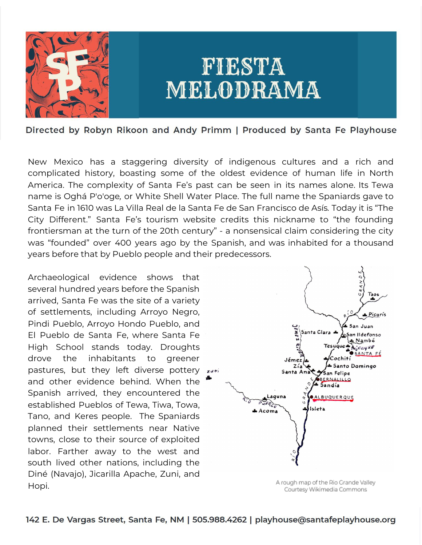

# FIESTA MELODRAMA

Directed by Robyn Rikoon and Andy Primm | Produced by Santa Fe Playhouse

New Mexico has a staggering diversity of indigenous cultures and a rich and complicated history, boasting some of the oldest evidence of human life in North America. The complexity of Santa Fe's past can be seen in its names alone. Its Tewa name is Oghá P'o'oge*,* or White Shell Water Place. The full name the Spaniards gave to Santa Fe in 1610 was La Villa Real de la Santa Fe de San Francisco de Asís*.* Today it is "The City Different." Santa Fe's tourism website credits this nickname to "the founding frontiersman at the turn of the 20th century" - a nonsensical claim considering the city was "founded" over 400 years ago by the Spanish, and was inhabited for a thousand years before that by Pueblo people and their predecessors.

Archaeological evidence shows that several hundred years before the Spanish arrived, Santa Fe was the site of a variety of settlements, including Arroyo Negro, Pindi Pueblo, Arroyo Hondo Pueblo, and El Pueblo de Santa Fe, where Santa Fe High School stands today. Droughts drove the inhabitants to greener pastures, but they left diverse pottery zuri and other evidence behind. When the Spanish arrived, they encountered the established Pueblos of Tewa, Tiwa, Towa, Tano, and Keres people. The Spaniards planned their settlements near Native towns, close to their source of exploited labor. Farther away to the west and south lived other nations, including the Diné (Navajo), Jicarilla Apache, Zuni, and Hopi.



Courtesy Wikimedia Commons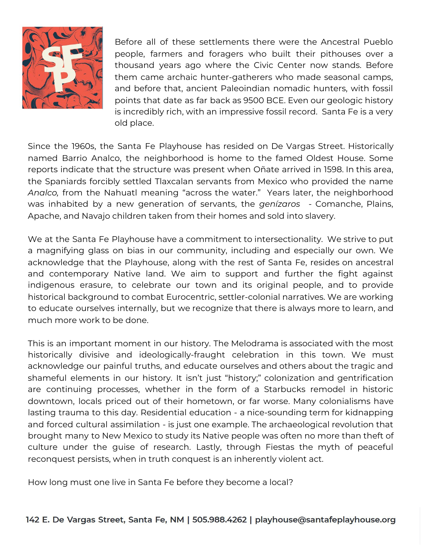

Before all of these settlements there were the Ancestral Pueblo people, farmers and foragers who built their pithouses over a thousand years ago where the Civic Center now stands. Before them came archaic hunter-gatherers who made seasonal camps, and before that, ancient Paleoindian nomadic hunters, with fossil points that date as far back as 9500 BCE. Even our geologic history is incredibly rich, with an impressive fossil record. Santa Fe is a very old place.

Since the 1960s, the Santa Fe Playhouse has resided on De Vargas Street. Historically named Barrio Analco, the neighborhood is home to the famed Oldest House. Some reports indicate that the structure was present when Oñate arrived in 1598. In this area, the Spaniards forcibly settled Tlaxcalan servants from Mexico who provided the name *Analco,* from the Nahuatl meaning "across the water." Years later, the neighborhood was inhabited by a new generation of servants, the *genízaros* - Comanche, Plains, Apache, and Navajo children taken from their homes and sold into slavery.

We at the Santa Fe Playhouse have a commitment to intersectionality. We strive to put a magnifying glass on bias in our community, including and especially our own. We acknowledge that the Playhouse, along with the rest of Santa Fe, resides on ancestral and contemporary Native land. We aim to support and further the fight against indigenous erasure, to celebrate our town and its original people, and to provide historical background to combat Eurocentric, settler-colonial narratives. We are working to educate ourselves internally, but we recognize that there is always more to learn, and much more work to be done.

This is an important moment in our history. The Melodrama is associated with the most historically divisive and ideologically-fraught celebration in this town. We must acknowledge our painful truths, and educate ourselves and others about the tragic and shameful elements in our history. It isn't just "history;" colonization and gentrification are continuing processes, whether in the form of a Starbucks remodel in historic downtown, locals priced out of their hometown, or far worse. Many colonialisms have lasting trauma to this day. Residential education - a nice-sounding term for kidnapping and forced cultural assimilation - is just one example. The archaeological revolution that brought many to New Mexico to study its Native people was often no more than theft of culture under the guise of research. Lastly, through Fiestas the myth of peaceful reconquest persists, when in truth conquest is an inherently violent act.

How long must one live in Santa Fe before they become a local?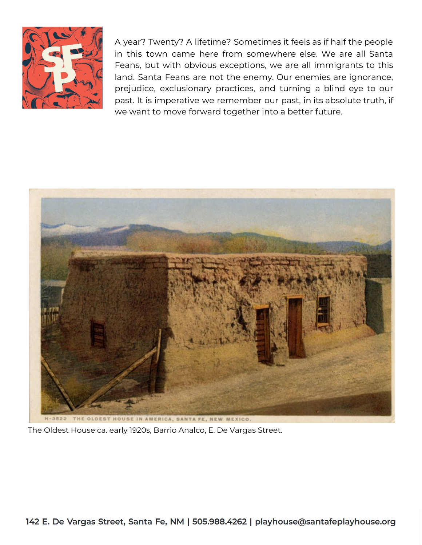

A year? Twenty? A lifetime? Sometimes it feels as if half the people in this town came here from somewhere else. We are all Santa Feans, but with obvious exceptions, we are all immigrants to this land. Santa Feans are not the enemy. Our enemies are ignorance, prejudice, exclusionary practices, and turning a blind eye to our past. It is imperative we remember our past, in its absolute truth, if we want to move forward together into a better future.



The Oldest House ca. early 1920s, Barrio Analco, E. De Vargas Street.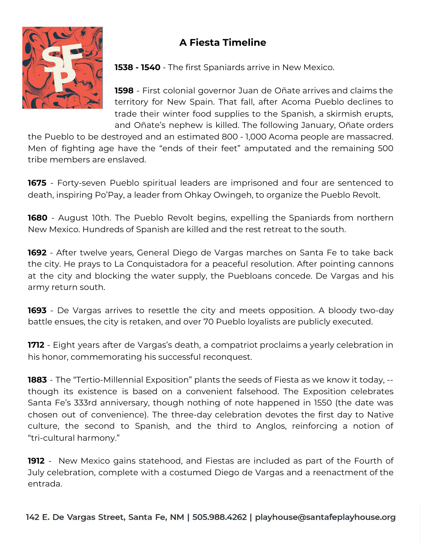## **A Fiesta Timeline**



**1538 - 1540** - The first Spaniards arrive in New Mexico.

**1598** - First colonial governor Juan de Oñate arrives and claims the territory for New Spain. That fall, after Acoma Pueblo declines to trade their winter food supplies to the Spanish, a skirmish erupts, and Oñate's nephew is killed. The following January, Oñate orders

the Pueblo to be destroyed and an estimated 800 - 1,000 Acoma people are massacred. Men of fighting age have the "ends of their feet" amputated and the remaining 500 tribe members are enslaved.

**1675** - Forty-seven Pueblo spiritual leaders are imprisoned and four are sentenced to death, inspiring Po'Pay, a leader from Ohkay Owingeh, to organize the Pueblo Revolt.

**1680** - August 10th. The Pueblo Revolt begins, expelling the Spaniards from northern New Mexico. Hundreds of Spanish are killed and the rest retreat to the south.

**1692** - After twelve years, General Diego de Vargas marches on Santa Fe to take back the city. He prays to La Conquistadora for a peaceful resolution. After pointing cannons at the city and blocking the water supply, the Puebloans concede. De Vargas and his army return south.

**1693** - De Vargas arrives to resettle the city and meets opposition. A bloody two-day battle ensues, the city is retaken, and over 70 Pueblo loyalists are publicly executed.

**1712** - Eight years after de Vargas's death, a compatriot proclaims a yearly celebration in his honor, commemorating his successful reconquest.

**1883** - The "Tertio-Millennial Exposition" plants the seeds of Fiesta as we know it today, - though its existence is based on a convenient falsehood. The Exposition celebrates Santa Fe's 333rd anniversary, though nothing of note happened in 1550 (the date was chosen out of convenience). The three-day celebration devotes the first day to Native culture, the second to Spanish, and the third to Anglos, reinforcing a notion of "tri-cultural harmony."

**1912** - New Mexico gains statehood, and Fiestas are included as part of the Fourth of July celebration, complete with a costumed Diego de Vargas and a reenactment of the entrada.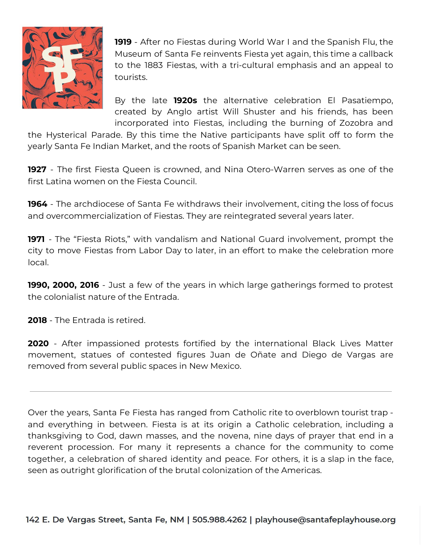

**1919** - After no Fiestas during World War I and the Spanish Flu, the Museum of Santa Fe reinvents Fiesta yet again, this time a callback to the 1883 Fiestas, with a tri-cultural emphasis and an appeal to tourists.

By the late **1920s** the alternative celebration El Pasatiempo, created by Anglo artist Will Shuster and his friends, has been incorporated into Fiestas, including the burning of Zozobra and

the Hysterical Parade. By this time the Native participants have split off to form the yearly Santa Fe Indian Market, and the roots of Spanish Market can be seen.

**1927** - The first Fiesta Queen is crowned, and Nina Otero-Warren serves as one of the first Latina women on the Fiesta Council.

**1964** - The archdiocese of Santa Fe withdraws their involvement, citing the loss of focus and overcommercialization of Fiestas. They are reintegrated several years later.

**1971** - The "Fiesta Riots," with vandalism and National Guard involvement, prompt the city to move Fiestas from Labor Day to later, in an effort to make the celebration more local.

**1990, 2000, 2016** - Just a few of the years in which large gatherings formed to protest the colonialist nature of the Entrada.

**2018** - The Entrada is retired.

**2020** - After impassioned protests fortified by the international Black Lives Matter movement, statues of contested figures Juan de Oñate and Diego de Vargas are removed from several public spaces in New Mexico.

Over the years, Santa Fe Fiesta has ranged from Catholic rite to overblown tourist trap and everything in between. Fiesta is at its origin a Catholic celebration, including a thanksgiving to God, dawn masses, and the novena, nine days of prayer that end in a reverent procession. For many it represents a chance for the community to come together, a celebration of shared identity and peace. For others, it is a slap in the face, seen as outright glorification of the brutal colonization of the Americas.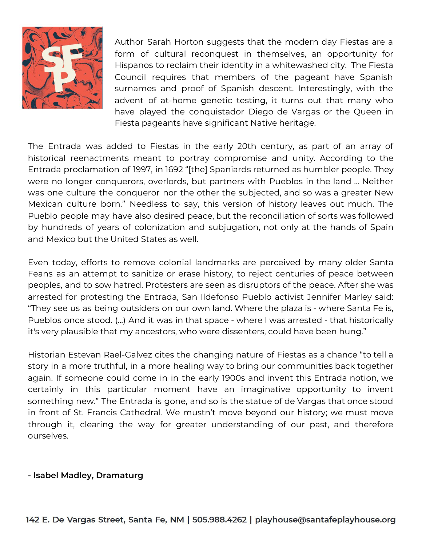

Author Sarah Horton suggests that the modern day Fiestas are a form of cultural reconquest in themselves, an opportunity for Hispanos to reclaim their identity in a whitewashed city. The Fiesta Council requires that members of the pageant have Spanish surnames and proof of Spanish descent. Interestingly, with the advent of at-home genetic testing, it turns out that many who have played the conquistador Diego de Vargas or the Queen in Fiesta pageants have significant Native heritage.

The Entrada was added to Fiestas in the early 20th century, as part of an array of historical reenactments meant to portray compromise and unity. According to the Entrada proclamation of 1997, in 1692 "[the] Spaniards returned as humbler people. They were no longer conquerors, overlords, but partners with Pueblos in the land … Neither was one culture the conqueror nor the other the subjected, and so was a greater New Mexican culture born." Needless to say, this version of history leaves out much. The Pueblo people may have also desired peace, but the reconciliation of sorts was followed by hundreds of years of colonization and subjugation, not only at the hands of Spain and Mexico but the United States as well.

Even today, efforts to remove colonial landmarks are perceived by many older Santa Feans as an attempt to sanitize or erase history, to reject centuries of peace between peoples, and to sow hatred. Protesters are seen as disruptors of the peace. After she was arrested for protesting the Entrada, San Ildefonso Pueblo activist Jennifer Marley said: "They see us as being outsiders on our own land. Where the plaza is - where Santa Fe is, Pueblos once stood. (...) And it was in that space - where I was arrested - that historically it's very plausible that my ancestors, who were dissenters, could have been hung."

Historian Estevan Rael-Galvez cites the changing nature of Fiestas as a chance "to tell a story in a more truthful, in a more healing way to bring our communities back together again. If someone could come in in the early 1900s and invent this Entrada notion, we certainly in this particular moment have an imaginative opportunity to invent something new." The Entrada is gone, and so is the statue of de Vargas that once stood in front of St. Francis Cathedral. We mustn't move beyond our history; we must move through it, clearing the way for greater understanding of our past, and therefore ourselves.

#### **- Isabel Madley, Dramaturg**